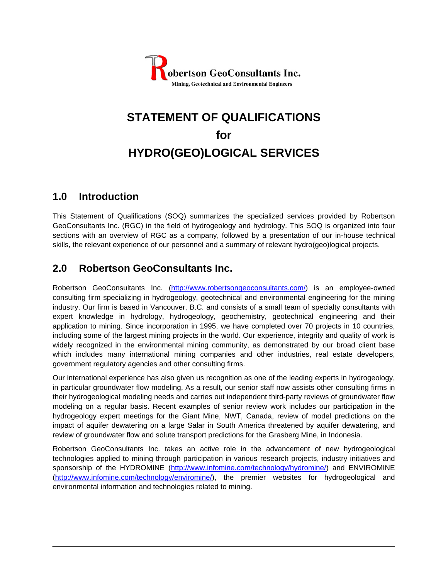

# **STATEMENT OF QUALIFICATIONS for HYDRO(GEO)LOGICAL SERVICES**

# **1.0 Introduction**

This Statement of Qualifications (SOQ) summarizes the specialized services provided by Robertson GeoConsultants Inc. (RGC) in the field of hydrogeology and hydrology. This SOQ is organized into four sections with an overview of RGC as a company, followed by a presentation of our in-house technical skills, the relevant experience of our personnel and a summary of relevant hydro(geo)logical projects.

# **2.0 Robertson GeoConsultants Inc.**

Robertson GeoConsultants Inc. (http://www.robertsongeoconsultants.com/) is an employee-owned consulting firm specializing in hydrogeology, geotechnical and environmental engineering for the mining industry. Our firm is based in Vancouver, B.C. and consists of a small team of specialty consultants with expert knowledge in hydrology, hydrogeology, geochemistry, geotechnical engineering and their application to mining. Since incorporation in 1995, we have completed over 70 projects in 10 countries, including some of the largest mining projects in the world. Our experience, integrity and quality of work is widely recognized in the environmental mining community, as demonstrated by our broad client base which includes many international mining companies and other industries, real estate developers, government regulatory agencies and other consulting firms.

Our international experience has also given us recognition as one of the leading experts in hydrogeology, in particular groundwater flow modeling. As a result, our senior staff now assists other consulting firms in their hydrogeological modeling needs and carries out independent third-party reviews of groundwater flow modeling on a regular basis. Recent examples of senior review work includes our participation in the hydrogeology expert meetings for the Giant Mine, NWT, Canada, review of model predictions on the impact of aquifer dewatering on a large Salar in South America threatened by aquifer dewatering, and review of groundwater flow and solute transport predictions for the Grasberg Mine, in Indonesia.

Robertson GeoConsultants Inc. takes an active role in the advancement of new hydrogeological technologies applied to mining through participation in various research projects, industry initiatives and sponsorship of the HYDROMINE (http://www.infomine.com/technology/hydromine/) and ENVIROMINE (http://www.infomine.com/technology/enviromine/), the premier websites for hydrogeological and environmental information and technologies related to mining.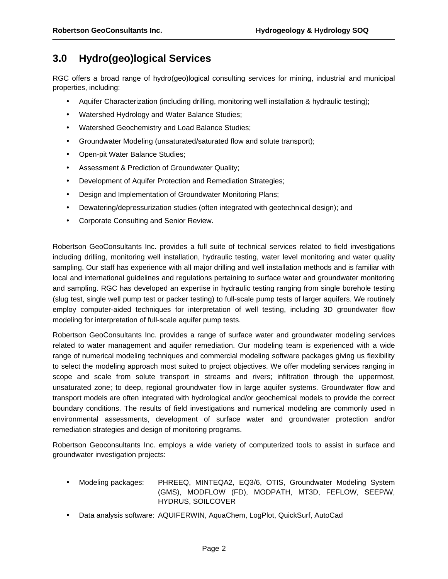# **3.0 Hydro(geo)logical Services**

RGC offers a broad range of hydro(geo)logical consulting services for mining, industrial and municipal properties, including:

- Aquifer Characterization (including drilling, monitoring well installation & hydraulic testing);
- Watershed Hydrology and Water Balance Studies;
- Watershed Geochemistry and Load Balance Studies;
- Groundwater Modeling (unsaturated/saturated flow and solute transport);
- Open-pit Water Balance Studies;
- Assessment & Prediction of Groundwater Quality;
- Development of Aquifer Protection and Remediation Strategies;
- Design and Implementation of Groundwater Monitoring Plans;
- Dewatering/depressurization studies (often integrated with geotechnical design); and
- Corporate Consulting and Senior Review.

Robertson GeoConsultants Inc. provides a full suite of technical services related to field investigations including drilling, monitoring well installation, hydraulic testing, water level monitoring and water quality sampling. Our staff has experience with all major drilling and well installation methods and is familiar with local and international guidelines and regulations pertaining to surface water and groundwater monitoring and sampling. RGC has developed an expertise in hydraulic testing ranging from single borehole testing (slug test, single well pump test or packer testing) to full-scale pump tests of larger aquifers. We routinely employ computer-aided techniques for interpretation of well testing, including 3D groundwater flow modeling for interpretation of full-scale aquifer pump tests.

Robertson GeoConsultants Inc. provides a range of surface water and groundwater modeling services related to water management and aquifer remediation. Our modeling team is experienced with a wide range of numerical modeling techniques and commercial modeling software packages giving us flexibility to select the modeling approach most suited to project objectives. We offer modeling services ranging in scope and scale from solute transport in streams and rivers; infiltration through the uppermost, unsaturated zone; to deep, regional groundwater flow in large aquifer systems. Groundwater flow and transport models are often integrated with hydrological and/or geochemical models to provide the correct boundary conditions. The results of field investigations and numerical modeling are commonly used in environmental assessments, development of surface water and groundwater protection and/or remediation strategies and design of monitoring programs.

Robertson Geoconsultants Inc. employs a wide variety of computerized tools to assist in surface and groundwater investigation projects:

- Modeling packages: PHREEQ, MINTEQA2, EQ3/6, OTIS, Groundwater Modeling System (GMS), MODFLOW (FD), MODPATH, MT3D, FEFLOW, SEEP/W, HYDRUS, SOILCOVER
- Data analysis software: AQUIFERWIN, AquaChem, LogPlot, QuickSurf, AutoCad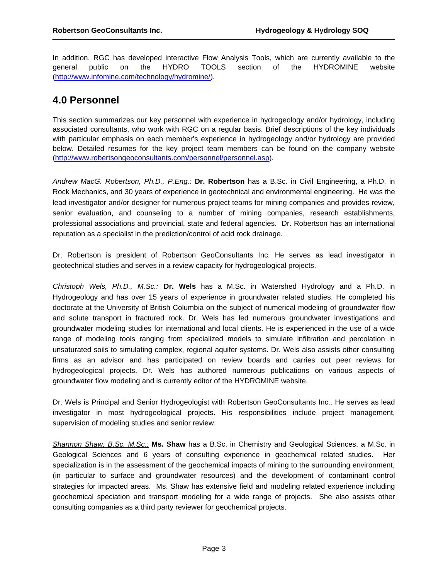In addition, RGC has developed interactive Flow Analysis Tools, which are currently available to the general public on the HYDRO TOOLS section of the HYDROMINE website (http://www.infomine.com/technology/hydromine/).

# **4.0 Personnel**

This section summarizes our key personnel with experience in hydrogeology and/or hydrology, including associated consultants, who work with RGC on a regular basis. Brief descriptions of the key individuals with particular emphasis on each member's experience in hydrogeology and/or hydrology are provided below. Detailed resumes for the key project team members can be found on the company website (http://www.robertsongeoconsultants.com/personnel/personnel.asp).

*Andrew MacG. Robertson, Ph.D., P.Eng.:* **Dr. Robertson** has a B.Sc. in Civil Engineering, a Ph.D. in Rock Mechanics, and 30 years of experience in geotechnical and environmental engineering. He was the lead investigator and/or designer for numerous project teams for mining companies and provides review, senior evaluation, and counseling to a number of mining companies, research establishments, professional associations and provincial, state and federal agencies. Dr. Robertson has an international reputation as a specialist in the prediction/control of acid rock drainage.

Dr. Robertson is president of Robertson GeoConsultants Inc. He serves as lead investigator in geotechnical studies and serves in a review capacity for hydrogeological projects.

*Christoph Wels, Ph.D., M.Sc.:* **Dr. Wels** has a M.Sc. in Watershed Hydrology and a Ph.D. in Hydrogeology and has over 15 years of experience in groundwater related studies. He completed his doctorate at the University of British Columbia on the subject of numerical modeling of groundwater flow and solute transport in fractured rock. Dr. Wels has led numerous groundwater investigations and groundwater modeling studies for international and local clients. He is experienced in the use of a wide range of modeling tools ranging from specialized models to simulate infiltration and percolation in unsaturated soils to simulating complex, regional aquifer systems. Dr. Wels also assists other consulting firms as an advisor and has participated on review boards and carries out peer reviews for hydrogeological projects. Dr. Wels has authored numerous publications on various aspects of groundwater flow modeling and is currently editor of the HYDROMINE website.

Dr. Wels is Principal and Senior Hydrogeologist with Robertson GeoConsultants Inc.. He serves as lead investigator in most hydrogeological projects. His responsibilities include project management, supervision of modeling studies and senior review.

*Shannon Shaw, B.Sc. M.Sc.:* **Ms. Shaw** has a B.Sc. in Chemistry and Geological Sciences, a M.Sc. in Geological Sciences and 6 years of consulting experience in geochemical related studies. Her specialization is in the assessment of the geochemical impacts of mining to the surrounding environment, (in particular to surface and groundwater resources) and the development of contaminant control strategies for impacted areas. Ms. Shaw has extensive field and modeling related experience including geochemical speciation and transport modeling for a wide range of projects. She also assists other consulting companies as a third party reviewer for geochemical projects.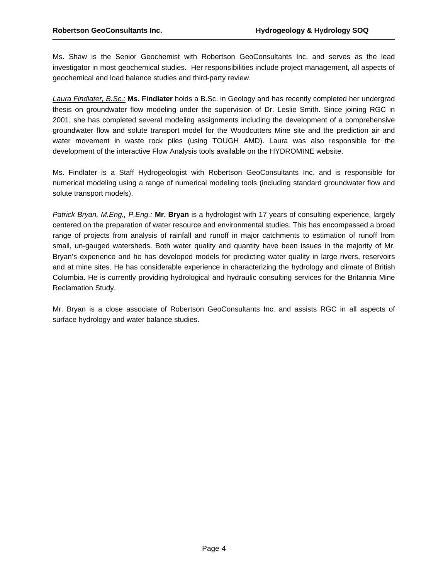Ms. Shaw is the Senior Geochemist with Robertson GeoConsultants Inc. and serves as the lead investigator in most geochemical studies. Her responsibilities include project management, all aspects of geochemical and load balance studies and third-party review.

*Laura Findlater, B.Sc.:* **Ms. Findlater** holds a B.Sc. in Geology and has recently completed her undergrad thesis on groundwater flow modeling under the supervision of Dr. Leslie Smith. Since joining RGC in 2001, she has completed several modeling assignments including the development of a comprehensive groundwater flow and solute transport model for the Woodcutters Mine site and the prediction air and water movement in waste rock piles (using TOUGH AMD). Laura was also responsible for the development of the interactive Flow Analysis tools available on the HYDROMINE website.

Ms. Findlater is a Staff Hydrogeologist with Robertson GeoConsultants Inc. and is responsible for numerical modeling using a range of numerical modeling tools (including standard groundwater flow and solute transport models).

*Patrick Bryan, M.Eng., P.Eng.:* **Mr. Bryan** is a hydrologist with 17 years of consulting experience, largely centered on the preparation of water resource and environmental studies. This has encompassed a broad range of projects from analysis of rainfall and runoff in major catchments to estimation of runoff from small, un-gauged watersheds. Both water quality and quantity have been issues in the majority of Mr. Bryan's experience and he has developed models for predicting water quality in large rivers, reservoirs and at mine sites. He has considerable experience in characterizing the hydrology and climate of British Columbia. He is currently providing hydrological and hydraulic consulting services for the Britannia Mine Reclamation Study.

Mr. Bryan is a close associate of Robertson GeoConsultants Inc. and assists RGC in all aspects of surface hydrology and water balance studies.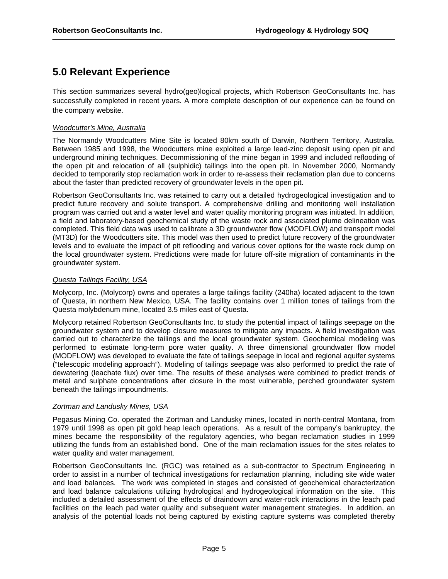# **5.0 Relevant Experience**

This section summarizes several hydro(geo)logical projects, which Robertson GeoConsultants Inc. has successfully completed in recent years. A more complete description of our experience can be found on the company website.

### *Woodcutter's Mine, Australia*

The Normandy Woodcutters Mine Site is located 80km south of Darwin, Northern Territory, Australia. Between 1985 and 1998, the Woodcutters mine exploited a large lead-zinc deposit using open pit and underground mining techniques. Decommissioning of the mine began in 1999 and included reflooding of the open pit and relocation of all (sulphidic) tailings into the open pit. In November 2000, Normandy decided to temporarily stop reclamation work in order to re-assess their reclamation plan due to concerns about the faster than predicted recovery of groundwater levels in the open pit.

Robertson GeoConsultants Inc. was retained to carry out a detailed hydrogeological investigation and to predict future recovery and solute transport. A comprehensive drilling and monitoring well installation program was carried out and a water level and water quality monitoring program was initiated. In addition, a field and laboratory-based geochemical study of the waste rock and associated plume delineation was completed. This field data was used to calibrate a 3D groundwater flow (MODFLOW) and transport model (MT3D) for the Woodcutters site. This model was then used to predict future recovery of the groundwater levels and to evaluate the impact of pit reflooding and various cover options for the waste rock dump on the local groundwater system. Predictions were made for future off-site migration of contaminants in the groundwater system.

### *Questa Tailings Facility, USA*

Molycorp, Inc. (Molycorp) owns and operates a large tailings facility (240ha) located adjacent to the town of Questa, in northern New Mexico, USA. The facility contains over 1 million tones of tailings from the Questa molybdenum mine, located 3.5 miles east of Questa.

Molycorp retained Robertson GeoConsultants Inc. to study the potential impact of tailings seepage on the groundwater system and to develop closure measures to mitigate any impacts. A field investigation was carried out to characterize the tailings and the local groundwater system. Geochemical modeling was performed to estimate long-term pore water quality. A three dimensional groundwater flow model (MODFLOW) was developed to evaluate the fate of tailings seepage in local and regional aquifer systems ("telescopic modeling approach"). Modeling of tailings seepage was also performed to predict the rate of dewatering (leachate flux) over time. The results of these analyses were combined to predict trends of metal and sulphate concentrations after closure in the most vulnerable, perched groundwater system beneath the tailings impoundments.

### *Zortman and Landusky Mines, USA*

Pegasus Mining Co. operated the Zortman and Landusky mines, located in north-central Montana, from 1979 until 1998 as open pit gold heap leach operations. As a result of the company's bankruptcy, the mines became the responsibility of the regulatory agencies, who began reclamation studies in 1999 utilizing the funds from an established bond. One of the main reclamation issues for the sites relates to water quality and water management.

Robertson GeoConsultants Inc. (RGC) was retained as a sub-contractor to Spectrum Engineering in order to assist in a number of technical investigations for reclamation planning, including site wide water and load balances. The work was completed in stages and consisted of geochemical characterization and load balance calculations utilizing hydrological and hydrogeological information on the site. This included a detailed assessment of the effects of draindown and water-rock interactions in the leach pad facilities on the leach pad water quality and subsequent water management strategies. In addition, an analysis of the potential loads not being captured by existing capture systems was completed thereby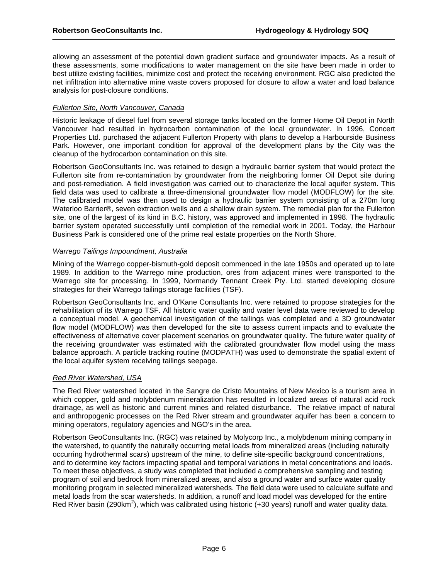allowing an assessment of the potential down gradient surface and groundwater impacts. As a result of these assessments, some modifications to water management on the site have been made in order to best utilize existing facilities, minimize cost and protect the receiving environment. RGC also predicted the net infiltration into alternative mine waste covers proposed for closure to allow a water and load balance analysis for post-closure conditions.

### *Fullerton Site, North Vancouver, Canada*

Historic leakage of diesel fuel from several storage tanks located on the former Home Oil Depot in North Vancouver had resulted in hydrocarbon contamination of the local groundwater. In 1996, Concert Properties Ltd. purchased the adjacent Fullerton Property with plans to develop a Harbourside Business Park. However, one important condition for approval of the development plans by the City was the cleanup of the hydrocarbon contamination on this site.

Robertson GeoConsultants Inc. was retained to design a hydraulic barrier system that would protect the Fullerton site from re-contamination by groundwater from the neighboring former Oil Depot site during and post-remediation. A field investigation was carried out to characterize the local aquifer system. This field data was used to calibrate a three-dimensional groundwater flow model (MODFLOW) for the site. The calibrated model was then used to design a hydraulic barrier system consisting of a 270m long Waterloo Barrier®, seven extraction wells and a shallow drain system. The remedial plan for the Fullerton site, one of the largest of its kind in B.C. history, was approved and implemented in 1998. The hydraulic barrier system operated successfully until completion of the remedial work in 2001. Today, the Harbour Business Park is considered one of the prime real estate properties on the North Shore.

#### *Warrego Tailings Impoundment, Australia*

Mining of the Warrego copper-bismuth-gold deposit commenced in the late 1950s and operated up to late 1989. In addition to the Warrego mine production, ores from adjacent mines were transported to the Warrego site for processing. In 1999, Normandy Tennant Creek Pty. Ltd. started developing closure strategies for their Warrego tailings storage facilities (TSF).

Robertson GeoConsultants Inc. and O'Kane Consultants Inc. were retained to propose strategies for the rehabilitation of its Warrego TSF. All historic water quality and water level data were reviewed to develop a conceptual model. A geochemical investigation of the tailings was completed and a 3D groundwater flow model (MODFLOW) was then developed for the site to assess current impacts and to evaluate the effectiveness of alternative cover placement scenarios on groundwater quality. The future water quality of the receiving groundwater was estimated with the calibrated groundwater flow model using the mass balance approach. A particle tracking routine (MODPATH) was used to demonstrate the spatial extent of the local aquifer system receiving tailings seepage.

### *Red River Watershed, USA*

The Red River watershed located in the Sangre de Cristo Mountains of New Mexico is a tourism area in which copper, gold and molybdenum mineralization has resulted in localized areas of natural acid rock drainage, as well as historic and current mines and related disturbance. The relative impact of natural and anthropogenic processes on the Red River stream and groundwater aquifer has been a concern to mining operators, regulatory agencies and NGO's in the area.

Robertson GeoConsultants Inc. (RGC) was retained by Molycorp Inc., a molybdenum mining company in the watershed, to quantify the naturally occurring metal loads from mineralized areas (including naturally occurring hydrothermal scars) upstream of the mine, to define site-specific background concentrations, and to determine key factors impacting spatial and temporal variations in metal concentrations and loads. To meet these objectives, a study was completed that included a comprehensive sampling and testing program of soil and bedrock from mineralized areas, and also a ground water and surface water quality monitoring program in selected mineralized watersheds. The field data were used to calculate sulfate and metal loads from the scar watersheds. In addition, a runoff and load model was developed for the entire Red River basin (290km<sup>2</sup>), which was calibrated using historic (+30 years) runoff and water quality data.